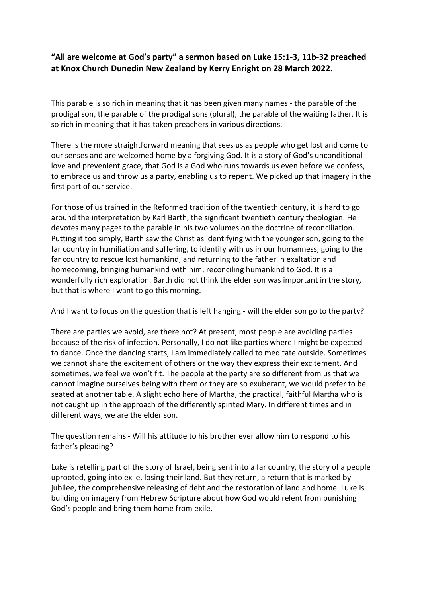## "All are welcome at God's party" a sermon based on Luke 15:1-3, 11b-32 preached at Knox Church Dunedin New Zealand by Kerry Enright on 28 March 2022.

This parable is so rich in meaning that it has been given many names - the parable of the prodigal son, the parable of the prodigal sons (plural), the parable of the waiting father. It is so rich in meaning that it has taken preachers in various directions.

There is the more straightforward meaning that sees us as people who get lost and come to our senses and are welcomed home by a forgiving God. It is a story of God's unconditional love and prevenient grace, that God is a God who runs towards us even before we confess, to embrace us and throw us a party, enabling us to repent. We picked up that imagery in the first part of our service.

For those of us trained in the Reformed tradition of the twentieth century, it is hard to go around the interpretation by Karl Barth, the significant twentieth century theologian. He devotes many pages to the parable in his two volumes on the doctrine of reconciliation. Putting it too simply, Barth saw the Christ as identifying with the younger son, going to the far country in humiliation and suffering, to identify with us in our humanness, going to the far country to rescue lost humankind, and returning to the father in exaltation and homecoming, bringing humankind with him, reconciling humankind to God. It is a wonderfully rich exploration. Barth did not think the elder son was important in the story, but that is where I want to go this morning.

And I want to focus on the question that is left hanging - will the elder son go to the party?

There are parties we avoid, are there not? At present, most people are avoiding parties because of the risk of infection. Personally, I do not like parties where I might be expected to dance. Once the dancing starts, I am immediately called to meditate outside. Sometimes we cannot share the excitement of others or the way they express their excitement. And sometimes, we feel we won't fit. The people at the party are so different from us that we cannot imagine ourselves being with them or they are so exuberant, we would prefer to be seated at another table. A slight echo here of Martha, the practical, faithful Martha who is not caught up in the approach of the differently spirited Mary. In different times and in different ways, we are the elder son.

The question remains - Will his attitude to his brother ever allow him to respond to his father's pleading?

Luke is retelling part of the story of Israel, being sent into a far country, the story of a people uprooted, going into exile, losing their land. But they return, a return that is marked by jubilee, the comprehensive releasing of debt and the restoration of land and home. Luke is building on imagery from Hebrew Scripture about how God would relent from punishing God's people and bring them home from exile.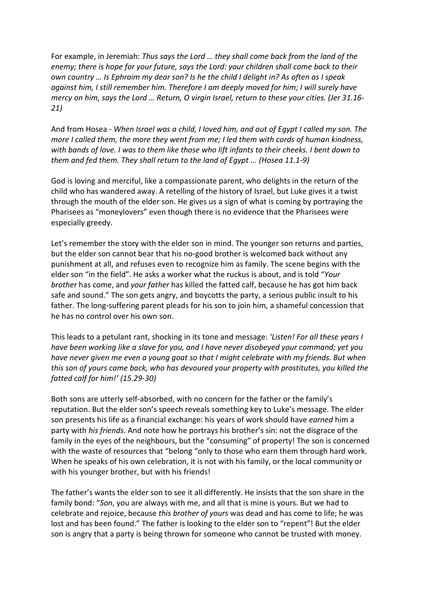For example, in Jeremiah: Thus says the Lord … they shall come back from the land of the enemy; there is hope for your future, says the Lord: your children shall come back to their own country … Is Ephraim my dear son? Is he the child I delight in? As often as I speak against him, I still remember him. Therefore I am deeply moved for him; I will surely have mercy on him, says the Lord … Return, O virgin Israel, return to these your cities. (Jer 31.16- 21)

And from Hosea - When Israel was a child, I loved him, and out of Egypt I called my son. The more I called them, the more they went from me; I led them with cords of human kindness, with bands of love. I was to them like those who lift infants to their cheeks. I bent down to them and fed them. They shall return to the land of Egypt ... (Hosea 11.1-9)

God is loving and merciful, like a compassionate parent, who delights in the return of the child who has wandered away. A retelling of the history of Israel, but Luke gives it a twist through the mouth of the elder son. He gives us a sign of what is coming by portraying the Pharisees as "moneylovers" even though there is no evidence that the Pharisees were especially greedy.

Let's remember the story with the elder son in mind. The younger son returns and parties, but the elder son cannot bear that his no-good brother is welcomed back without any punishment at all, and refuses even to recognize him as family. The scene begins with the elder son "in the field". He asks a worker what the ruckus is about, and is told "Your brother has come, and your father has killed the fatted calf, because he has got him back safe and sound." The son gets angry, and boycotts the party, a serious public insult to his father. The long-suffering parent pleads for his son to join him, a shameful concession that he has no control over his own son.

This leads to a petulant rant, shocking in its tone and message: 'Listen! For all these years I have been working like a slave for you, and I have never disobeyed your command; yet you have never given me even a young goat so that I might celebrate with my friends. But when this son of yours came back, who has devoured your property with prostitutes, you killed the fatted calf for him!' (15.29-30)

Both sons are utterly self-absorbed, with no concern for the father or the family's reputation. But the elder son's speech reveals something key to Luke's message. The elder son presents his life as a financial exchange: his years of work should have earned him a party with his friends. And note how he portrays his brother's sin: not the disgrace of the family in the eyes of the neighbours, but the "consuming" of property! The son is concerned with the waste of resources that "belong "only to those who earn them through hard work. When he speaks of his own celebration, it is not with his family, or the local community or with his younger brother, but with his friends!

The father's wants the elder son to see it all differently. He insists that the son share in the family bond: "Son, you are always with me, and all that is mine is yours. But we had to celebrate and rejoice, because this brother of yours was dead and has come to life; he was lost and has been found." The father is looking to the elder son to "repent"! But the elder son is angry that a party is being thrown for someone who cannot be trusted with money.